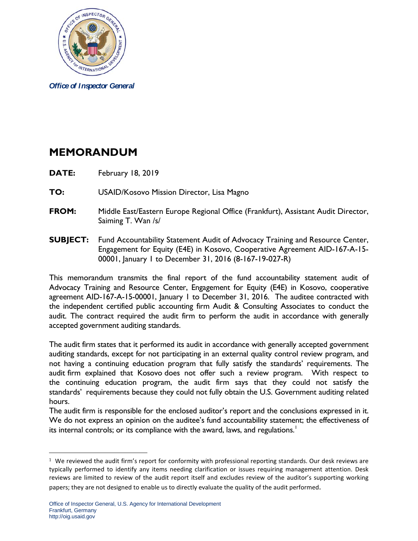

*Office of Inspector General*

## **MEMORANDUM**

- **DATE:** February 18, 2019
- **TO:** USAID/Kosovo Mission Director, Lisa Magno
- **FROM:** Middle East/Eastern Europe Regional Office (Frankfurt), Assistant Audit Director, Saiming T. Wan /s/
- **SUBJECT:** Fund Accountability Statement Audit of Advocacy Training and Resource Center, Engagement for Equity (E4E) in Kosovo, Cooperative Agreement AID-167-A-15- 00001, January 1 to December 31, 2016 (8-167-19-027-R)

This memorandum transmits the final report of the fund accountability statement audit of Advocacy Training and Resource Center, Engagement for Equity (E4E) in Kosovo, cooperative agreement AID-167-A-15-00001, January 1 to December 31, 2016. The auditee contracted with the independent certified public accounting firm Audit & Consulting Associates to conduct the audit. The contract required the audit firm to perform the audit in accordance with generally accepted government auditing standards.

The audit firm states that it performed its audit in accordance with generally accepted government auditing standards, except for not participating in an external quality control review program, and not having a continuing education program that fully satisfy the standards' requirements. The audit firm explained that Kosovo does not offer such a review program. With respect to the continuing education program, the audit firm says that they could not satisfy the standards' requirements because they could not fully obtain the U.S. Government auditing related hours.

The audit firm is responsible for the enclosed auditor's report and the conclusions expressed in it. We do not express an opinion on the auditee's fund accountability statement; the effectiveness of its internal controls; or its compliance with the award, laws, and regulations. $^{\mathrm{l}}$ 

<span id="page-0-0"></span> $1$  We reviewed the audit firm's report for conformity with professional reporting standards. Our desk reviews are typically performed to identify any items needing clarification or issues requiring management attention. Desk reviews are limited to review of the audit report itself and excludes review of the auditor's supporting working papers; they are not designed to enable us to directly evaluate the quality of the audit performed.